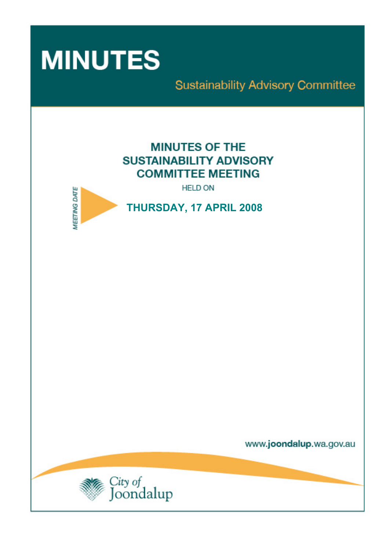

# **Sustainability Advisory Committee**

# **MINUTES OF THE SUSTAINABILITY ADVISORY COMMITTEE MEETING**

**HELD ON** 



**THURSDAY, 17 APRIL 2008** 

www.joondalup.wa.gov.au

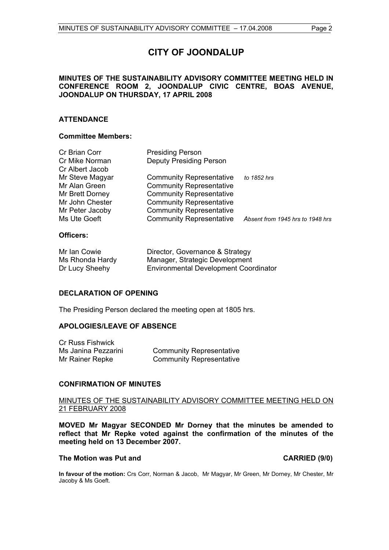# **CITY OF JOONDALUP**

# **MINUTES OF THE SUSTAINABILITY ADVISORY COMMITTEE MEETING HELD IN CONFERENCE ROOM 2, JOONDALUP CIVIC CENTRE, BOAS AVENUE, JOONDALUP ON THURSDAY, 17 APRIL 2008**

# **ATTENDANCE**

# **Committee Members:**

| Cr Brian Corr                   | <b>Presiding Person</b>         |                                  |
|---------------------------------|---------------------------------|----------------------------------|
| Cr Mike Norman                  | <b>Deputy Presiding Person</b>  |                                  |
| Cr Albert Jacob                 |                                 |                                  |
| Mr Steve Magyar                 | <b>Community Representative</b> | to 1852 hrs                      |
| Mr Alan Green                   | <b>Community Representative</b> |                                  |
| Mr Brett Dorney                 | <b>Community Representative</b> |                                  |
| Mr John Chester                 | <b>Community Representative</b> |                                  |
| Mr Peter Jacoby                 | <b>Community Representative</b> |                                  |
| Ms Ute Goeft                    | <b>Community Representative</b> | Absent from 1945 hrs to 1948 hrs |
| $\bigcap$ <i>EE</i> : $\bigcap$ |                                 |                                  |

# **Officers:**

| Mr Ian Cowie    | Director, Governance & Strategy              |
|-----------------|----------------------------------------------|
| Ms Rhonda Hardy | Manager, Strategic Development               |
| Dr Lucy Sheehy  | <b>Environmental Development Coordinator</b> |

# **DECLARATION OF OPENING**

The Presiding Person declared the meeting open at 1805 hrs.

# **APOLOGIES/LEAVE OF ABSENCE**

| Cr Russ Fishwick    |                                 |
|---------------------|---------------------------------|
| Ms Janina Pezzarini | <b>Community Representative</b> |
| Mr Rainer Repke     | <b>Community Representative</b> |

# **CONFIRMATION OF MINUTES**

# MINUTES OF THE SUSTAINABILITY ADVISORY COMMITTEE MEETING HELD ON 21 FEBRUARY 2008

**MOVED Mr Magyar SECONDED Mr Dorney that the minutes be amended to reflect that Mr Repke voted against the confirmation of the minutes of the meeting held on 13 December 2007.** 

# The Motion was Put and **CARRIED** (9/0)

**In favour of the motion:** Crs Corr, Norman & Jacob, Mr Magyar, Mr Green, Mr Dorney, Mr Chester, Mr Jacoby & Ms Goeft.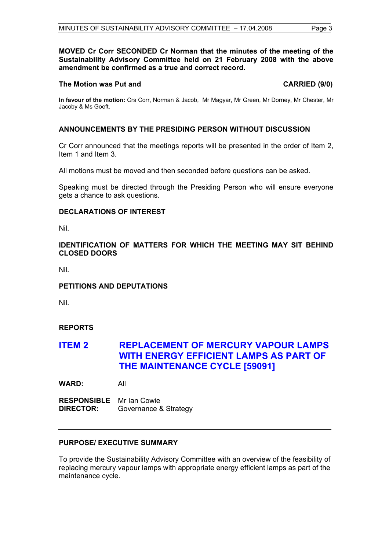# **MOVED Cr Corr SECONDED Cr Norman that the minutes of the meeting of the Sustainability Advisory Committee held on 21 February 2008 with the above amendment be confirmed as a true and correct record.**

# **The Motion was Put and CARRIED (9/0) CARRIED (9/0)**

**In favour of the motion:** Crs Corr, Norman & Jacob, Mr Magyar, Mr Green, Mr Dorney, Mr Chester, Mr Jacoby & Ms Goeft.

# **ANNOUNCEMENTS BY THE PRESIDING PERSON WITHOUT DISCUSSION**

Cr Corr announced that the meetings reports will be presented in the order of Item 2, Item 1 and Item 3.

All motions must be moved and then seconded before questions can be asked.

Speaking must be directed through the Presiding Person who will ensure everyone gets a chance to ask questions.

# **DECLARATIONS OF INTEREST**

Nil.

# **IDENTIFICATION OF MATTERS FOR WHICH THE MEETING MAY SIT BEHIND CLOSED DOORS**

Nil.

# **PETITIONS AND DEPUTATIONS**

Nil.

# **REPORTS**

# **ITEM 2 REPLACEMENT OF MERCURY VAPOUR LAMPS WITH ENERGY EFFICIENT LAMPS AS PART OF THE MAINTENANCE CYCLE [59091]**

**WARD:** All

**RESPONSIBLE** Mr Ian Cowie **DIRECTOR:** Governance & Strategy

# **PURPOSE/ EXECUTIVE SUMMARY**

To provide the Sustainability Advisory Committee with an overview of the feasibility of replacing mercury vapour lamps with appropriate energy efficient lamps as part of the maintenance cycle.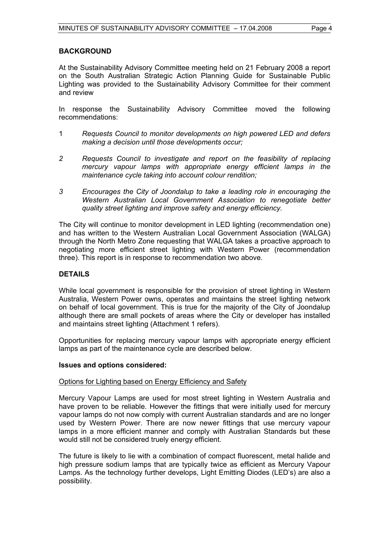# **BACKGROUND**

At the Sustainability Advisory Committee meeting held on 21 February 2008 a report on the South Australian Strategic Action Planning Guide for Sustainable Public Lighting was provided to the Sustainability Advisory Committee for their comment and review

In response the Sustainability Advisory Committee moved the following recommendations:

- 1 *Requests Council to monitor developments on high powered LED and defers making a decision until those developments occur;*
- *2 Requests Council to investigate and report on the feasibility of replacing mercury vapour lamps with appropriate energy efficient lamps in the maintenance cycle taking into account colour rendition;*
- *3 Encourages the City of Joondalup to take a leading role in encouraging the Western Australian Local Government Association to renegotiate better quality street lighting and improve safety and energy efficiency.*

The City will continue to monitor development in LED lighting (recommendation one) and has written to the Western Australian Local Government Association (WALGA) through the North Metro Zone requesting that WALGA takes a proactive approach to negotiating more efficient street lighting with Western Power (recommendation three). This report is in response to recommendation two above.

# **DETAILS**

While local government is responsible for the provision of street lighting in Western Australia, Western Power owns, operates and maintains the street lighting network on behalf of local government. This is true for the majority of the City of Joondalup although there are small pockets of areas where the City or developer has installed and maintains street lighting (Attachment 1 refers).

Opportunities for replacing mercury vapour lamps with appropriate energy efficient lamps as part of the maintenance cycle are described below.

# **Issues and options considered:**

# Options for Lighting based on Energy Efficiency and Safety

Mercury Vapour Lamps are used for most street lighting in Western Australia and have proven to be reliable. However the fittings that were initially used for mercury vapour lamps do not now comply with current Australian standards and are no longer used by Western Power. There are now newer fittings that use mercury vapour lamps in a more efficient manner and comply with Australian Standards but these would still not be considered truely energy efficient.

The future is likely to lie with a combination of compact fluorescent, metal halide and high pressure sodium lamps that are typically twice as efficient as Mercury Vapour Lamps. As the technology further develops, Light Emitting Diodes (LED's) are also a possibility.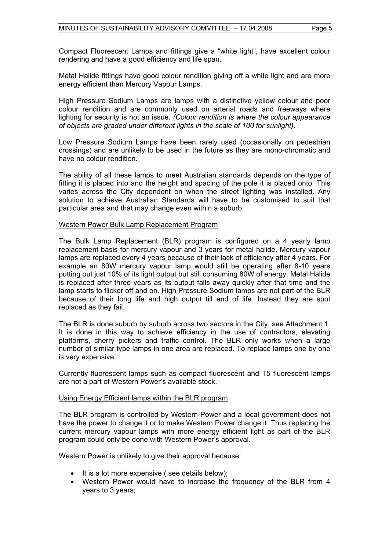Compact Fluorescent Lamps and fittings give a "white light", have excellent colour rendering and have a good efficiency and life span.

Metal Halide fittings have good colour rendition giving off a white light and are more energy efficient than Mercury Vapour Lamps.

High Pressure Sodium Lamps are lamps with a distinctive yellow colour and poor colour rendition and are commonly used on arterial roads and freeways where lighting for security is not an issue. *(Colour rendition is where the colour appearance of objects are graded under different lights in the scale of 100 for sunlight).* 

Low Pressure Sodium Lamps have been rarely used (occasionally on pedestrian crossings) and are unlikely to be used in the future as they are mono-chromatic and have no colour rendition.

The ability of all these lamps to meet Australian standards depends on the type of fitting it is placed into and the height and spacing of the pole it is placed onto. This varies across the City dependent on when the street lighting was installed. Any solution to achieve Australian Standards will have to be customised to suit that particular area and that may change even within a suburb.

# Western Power Bulk Lamp Replacement Program

The Bulk Lamp Replacement (BLR) program is configured on a 4 yearly lamp replacement basis for mercury vapour and 3 years for metal halide. Mercury vapour lamps are replaced every 4 years because of their lack of efficiency after 4 years. For example an 80W mercury vapour lamp would still be operating after 8-10 years putting out just 10% of its light output but still consuming 80W of energy. Metal Halide is replaced after three years as its output falls away quickly after that time and the lamp starts to flicker off and on. High Pressure Sodium lamps are not part of the BLR because of their long life and high output till end of life. Instead they are spot replaced as they fail.

The BLR is done suburb by suburb across two sectors in the City, see Attachment 1. It is done in this way to achieve efficiency in the use of contractors, elevating platforms, cherry pickers and traffic control. The BLR only works when a large number of similar type lamps in one area are replaced. To replace lamps one by one is very expensive.

Currently fluorescent lamps such as compact fluorescent and T5 fluorescent lamps are not a part of Western Power's available stock.

# Using Energy Efficient lamps within the BLR program

The BLR program is controlled by Western Power and a local government does not have the power to change it or to make Western Power change it. Thus replacing the current mercury vapour lamps with more energy efficient light as part of the BLR program could only be done with Western Power's approval.

Western Power is unlikely to give their approval because:

- It is a lot more expensive (see details below);
- Western Power would have to increase the frequency of the BLR from 4 years to 3 years;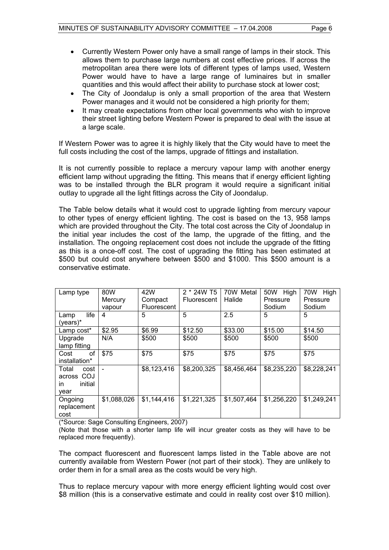- Currently Western Power only have a small range of lamps in their stock. This allows them to purchase large numbers at cost effective prices. If across the metropolitan area there were lots of different types of lamps used, Western Power would have to have a large range of luminaires but in smaller quantities and this would affect their ability to purchase stock at lower cost;
- The City of Joondalup is only a small proportion of the area that Western Power manages and it would not be considered a high priority for them;
- It may create expectations from other local governments who wish to improve their street lighting before Western Power is prepared to deal with the issue at a large scale.

If Western Power was to agree it is highly likely that the City would have to meet the full costs including the cost of the lamps, upgrade of fittings and installation.

It is not currently possible to replace a mercury vapour lamp with another energy efficient lamp without upgrading the fitting. This means that if energy efficient lighting was to be installed through the BLR program it would require a significant initial outlay to upgrade all the light fittings across the City of Joondalup.

The Table below details what it would cost to upgrade lighting from mercury vapour to other types of energy efficient lighting. The cost is based on the 13, 958 lamps which are provided throughout the City. The total cost across the City of Joondalup in the initial year includes the cost of the lamp, the upgrade of the fitting, and the installation. The ongoing replacement cost does not include the upgrade of the fitting as this is a once-off cost. The cost of upgrading the fitting has been estimated at \$500 but could cost anywhere between \$500 and \$1000. This \$500 amount is a conservative estimate.

| Lamp type                                            | 80W            | 42W                | 2 * 24W T5         | 70W Metal   | 50W High    | 70W<br>High |
|------------------------------------------------------|----------------|--------------------|--------------------|-------------|-------------|-------------|
|                                                      | Mercury        | Compact            | <b>Fluorescent</b> | Halide      | Pressure    | Pressure    |
|                                                      | vapour         | <b>Fluorescent</b> |                    |             | Sodium      | Sodium      |
| life<br>Lamp<br>$(years)*$                           | 4              | 5                  | 5                  | 2.5         | 5           | 5           |
| Lamp cost*                                           | \$2.95         | \$6.99             | \$12.50            | \$33.00     | \$15.00     | \$14.50     |
| Upgrade<br>lamp fitting                              | N/A            | \$500              | \$500              | \$500       | \$500       | \$500       |
| οf<br>Cost<br>installation*                          | \$75           | \$75               | \$75               | \$75        | \$75        | \$75        |
| Total<br>cost<br>across COJ<br>initial<br>in<br>year | $\blacksquare$ | \$8,123,416        | \$8,200,325        | \$8,456,464 | \$8,235,220 | \$8,228,241 |
| Ongoing<br>replacement<br>cost                       | \$1,088,026    | \$1,144,416        | \$1,221,325        | \$1,507,464 | \$1,256,220 | \$1,249,241 |

(\*Source: Sage Consulting Engineers, 2007)

(Note that those with a shorter lamp life will incur greater costs as they will have to be replaced more frequently).

The compact fluorescent and fluorescent lamps listed in the Table above are not currently available from Western Power (not part of their stock). They are unlikely to order them in for a small area as the costs would be very high.

Thus to replace mercury vapour with more energy efficient lighting would cost over \$8 million (this is a conservative estimate and could in reality cost over \$10 million).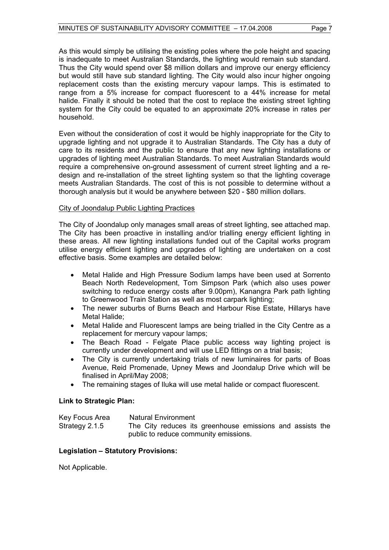As this would simply be utilising the existing poles where the pole height and spacing is inadequate to meet Australian Standards, the lighting would remain sub standard. Thus the City would spend over \$8 million dollars and improve our energy efficiency but would still have sub standard lighting. The City would also incur higher ongoing replacement costs than the existing mercury vapour lamps. This is estimated to range from a 5% increase for compact fluorescent to a 44% increase for metal halide. Finally it should be noted that the cost to replace the existing street lighting system for the City could be equated to an approximate 20% increase in rates per household.

Even without the consideration of cost it would be highly inappropriate for the City to upgrade lighting and not upgrade it to Australian Standards. The City has a duty of care to its residents and the public to ensure that any new lighting installations or upgrades of lighting meet Australian Standards. To meet Australian Standards would require a comprehensive on-ground assessment of current street lighting and a redesign and re-installation of the street lighting system so that the lighting coverage meets Australian Standards. The cost of this is not possible to determine without a thorough analysis but it would be anywhere between \$20 - \$80 million dollars.

# City of Joondalup Public Lighting Practices

The City of Joondalup only manages small areas of street lighting, see attached map. The City has been proactive in installing and/or trialling energy efficient lighting in these areas. All new lighting installations funded out of the Capital works program utilise energy efficient lighting and upgrades of lighting are undertaken on a cost effective basis. Some examples are detailed below:

- Metal Halide and High Pressure Sodium lamps have been used at Sorrento Beach North Redevelopment, Tom Simpson Park (which also uses power switching to reduce energy costs after 9.00pm), Kanangra Park path lighting to Greenwood Train Station as well as most carpark lighting;
- The newer suburbs of Burns Beach and Harbour Rise Estate, Hillarys have Metal Halide;
- Metal Halide and Fluorescent lamps are being trialled in the City Centre as a replacement for mercury vapour lamps;
- The Beach Road Felgate Place public access way lighting project is currently under development and will use LED fittings on a trial basis;
- The City is currently undertaking trials of new luminaires for parts of Boas Avenue, Reid Promenade, Upney Mews and Joondalup Drive which will be finalised in April/May 2008;
- The remaining stages of Iluka will use metal halide or compact fluorescent.

# **Link to Strategic Plan:**

| Key Focus Area | Natural Environment |  |                                                           |  |  |
|----------------|---------------------|--|-----------------------------------------------------------|--|--|
| Strategy 2.1.5 |                     |  | The City reduces its greenhouse emissions and assists the |  |  |
|                |                     |  | public to reduce community emissions.                     |  |  |

# **Legislation – Statutory Provisions:**

Not Applicable.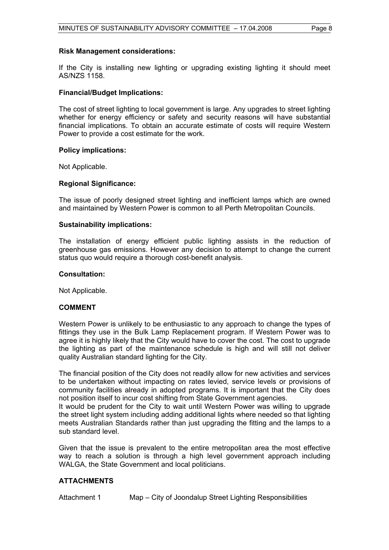# **Risk Management considerations:**

If the City is installing new lighting or upgrading existing lighting it should meet AS/NZS 1158.

# **Financial/Budget Implications:**

The cost of street lighting to local government is large. Any upgrades to street lighting whether for energy efficiency or safety and security reasons will have substantial financial implications. To obtain an accurate estimate of costs will require Western Power to provide a cost estimate for the work.

# **Policy implications:**

Not Applicable.

# **Regional Significance:**

The issue of poorly designed street lighting and inefficient lamps which are owned and maintained by Western Power is common to all Perth Metropolitan Councils.

# **Sustainability implications:**

The installation of energy efficient public lighting assists in the reduction of greenhouse gas emissions. However any decision to attempt to change the current status quo would require a thorough cost-benefit analysis.

# **Consultation:**

Not Applicable.

# **COMMENT**

Western Power is unlikely to be enthusiastic to any approach to change the types of fittings they use in the Bulk Lamp Replacement program. If Western Power was to agree it is highly likely that the City would have to cover the cost. The cost to upgrade the lighting as part of the maintenance schedule is high and will still not deliver quality Australian standard lighting for the City.

The financial position of the City does not readily allow for new activities and services to be undertaken without impacting on rates levied, service levels or provisions of community facilities already in adopted programs. It is important that the City does not position itself to incur cost shifting from State Government agencies.

It would be prudent for the City to wait until Western Power was willing to upgrade the street light system including adding additional lights where needed so that lighting meets Australian Standards rather than just upgrading the fitting and the lamps to a sub standard level.

Given that the issue is prevalent to the entire metropolitan area the most effective way to reach a solution is through a high level government approach including WALGA, the State Government and local politicians.

# **ATTACHMENTS**

Attachment 1 Map – City of Joondalup Street Lighting Responsibilities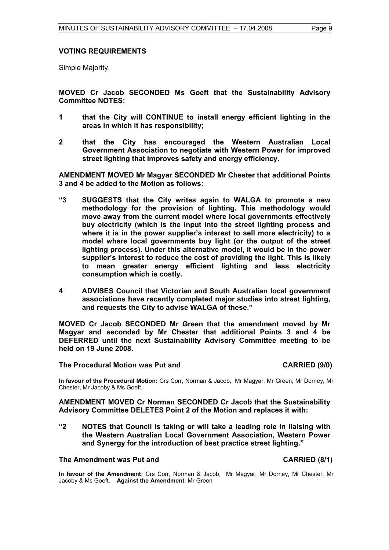# **VOTING REQUIREMENTS**

Simple Majority.

**MOVED Cr Jacob SECONDED Ms Goeft that the Sustainability Advisory Committee NOTES:** 

- **1 that the City will CONTINUE to install energy efficient lighting in the areas in which it has responsibility;**
- **2 that the City has encouraged the Western Australian Local Government Association to negotiate with Western Power for improved street lighting that improves safety and energy efficiency.**

**AMENDMENT MOVED Mr Magyar SECONDED Mr Chester that additional Points 3 and 4 be added to the Motion as follows:** 

- **"3 SUGGESTS that the City writes again to WALGA to promote a new methodology for the provision of lighting. This methodology would move away from the current model where local governments effectively buy electricity (which is the input into the street lighting process and where it is in the power supplier's interest to sell more electricity) to a model where local governments buy light (or the output of the street lighting process). Under this alternative model, it would be in the power supplier's interest to reduce the cost of providing the light. This is likely to mean greater energy efficient lighting and less electricity consumption which is costly.**
- **4 ADVISES Council that Victorian and South Australian local government associations have recently completed major studies into street lighting, and requests the City to advise WALGA of these."**

**MOVED Cr Jacob SECONDED Mr Green that the amendment moved by Mr Magyar and seconded by Mr Chester that additional Points 3 and 4 be DEFERRED until the next Sustainability Advisory Committee meeting to be held on 19 June 2008.** 

**The Procedural Motion was Put and CARRIED (9/0)** 

**In favour of the Procedural Motion:** Crs Corr, Norman & Jacob, Mr Magyar, Mr Green, Mr Dorney, Mr Chester, Mr Jacoby & Ms Goeft.

**AMENDMENT MOVED Cr Norman SECONDED Cr Jacob that the Sustainability Advisory Committee DELETES Point 2 of the Motion and replaces it with:** 

**"2 NOTES that Council is taking or will take a leading role in liaising with the Western Australian Local Government Association, Western Power and Synergy for the introduction of best practice street lighting."** 

# **The Amendment was Put and CARRIED (8/1)**

**In favour of the Amendment:** Crs Corr, Norman & Jacob, Mr Magyar, Mr Dorney, Mr Chester, Mr Jacoby & Ms Goeft. **Against the Amendment**: Mr Green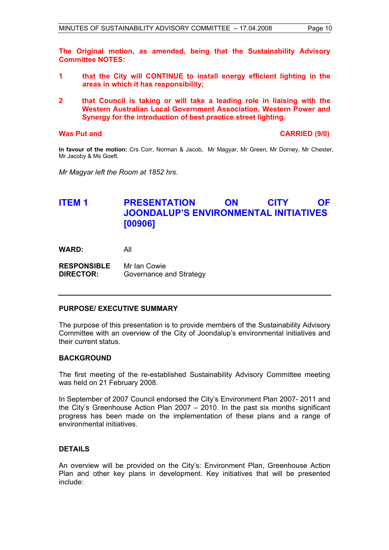**The Original motion, as amended, being that the Sustainability Advisory Committee NOTES:** 

- **1 that the City will CONTINUE to install energy efficient lighting in the areas in which it has responsibility;**
- **2 that Council is taking or will take a leading role in liaising with the Western Australian Local Government Association, Western Power and Synergy for the introduction of best practice street lighting.**

# **Was Put and CARRIED (9/0) CARRIED (9/0)**

**In favour of the motion:** Crs Corr, Norman & Jacob, Mr Magyar, Mr Green, Mr Dorney, Mr Chester, Mr Jacoby & Ms Goeft.

*Mr Magyar left the Room at 1852 hrs.* 

# **ITEM 1 PRESENTATION ON CITY OF JOONDALUP'S ENVIRONMENTAL INITIATIVES [00906]**

**WARD:** All

**RESPONSIBLE** Mr Ian Cowie **DIRECTOR:** Governance and Strategy

# **PURPOSE/ EXECUTIVE SUMMARY**

The purpose of this presentation is to provide members of the Sustainability Advisory Committee with an overview of the City of Joondalup's environmental initiatives and their current status.

# **BACKGROUND**

The first meeting of the re-established Sustainability Advisory Committee meeting was held on 21 February 2008.

In September of 2007 Council endorsed the City's Environment Plan 2007- 2011 and the City's Greenhouse Action Plan 2007 – 2010. In the past six months significant progress has been made on the implementation of these plans and a range of environmental initiatives.

# **DETAILS**

An overview will be provided on the City's: Environment Plan, Greenhouse Action Plan and other key plans in development. Key initiatives that will be presented include: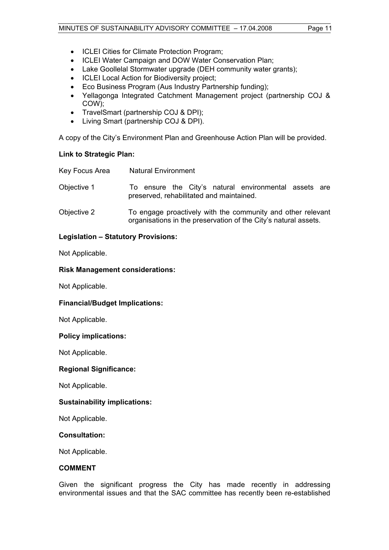- ICLEI Cities for Climate Protection Program;
- ICLEI Water Campaign and DOW Water Conservation Plan;
- Lake Goollelal Stormwater upgrade (DEH community water grants):
- ICLEI Local Action for Biodiversity project;
- Eco Business Program (Aus Industry Partnership funding);
- Yellagonga Integrated Catchment Management project (partnership COJ & COW);
- TravelSmart (partnership COJ & DPI);
- Living Smart (partnership COJ & DPI).

A copy of the City's Environment Plan and Greenhouse Action Plan will be provided.

# **Link to Strategic Plan:**

| Key Focus Area | <b>Natural Environment</b>                                                                                                     |
|----------------|--------------------------------------------------------------------------------------------------------------------------------|
| Objective 1    | To ensure the City's natural environmental assets are<br>preserved, rehabilitated and maintained.                              |
| Objective 2    | To engage proactively with the community and other relevant<br>organisations in the preservation of the City's natural assets. |

# **Legislation – Statutory Provisions:**

Not Applicable.

# **Risk Management considerations:**

Not Applicable.

# **Financial/Budget Implications:**

Not Applicable.

# **Policy implications:**

Not Applicable.

# **Regional Significance:**

Not Applicable.

# **Sustainability implications:**

Not Applicable.

# **Consultation:**

Not Applicable.

# **COMMENT**

Given the significant progress the City has made recently in addressing environmental issues and that the SAC committee has recently been re-established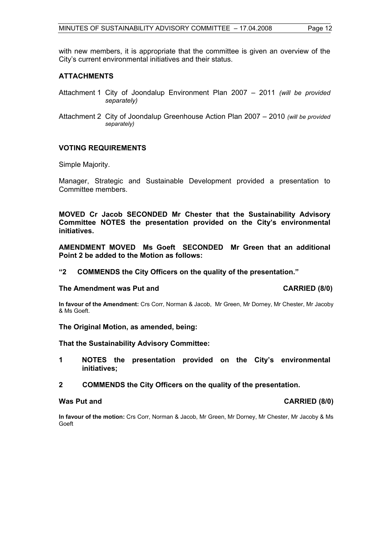with new members, it is appropriate that the committee is given an overview of the City's current environmental initiatives and their status.

# **ATTACHMENTS**

- Attachment 1 City of Joondalup Environment Plan 2007 2011 *(will be provided separately)*
- Attachment 2 City of Joondalup Greenhouse Action Plan 2007 2010 *(will be provided separately)*

# **VOTING REQUIREMENTS**

Simple Majority.

Manager, Strategic and Sustainable Development provided a presentation to Committee members.

**MOVED Cr Jacob SECONDED Mr Chester that the Sustainability Advisory Committee NOTES the presentation provided on the City's environmental initiatives.** 

**AMENDMENT MOVED Ms Goeft SECONDED Mr Green that an additional Point 2 be added to the Motion as follows:** 

# **"2 COMMENDS the City Officers on the quality of the presentation."**

#### The Amendment was Put and **CARRIED** (8/0)

**In favour of the Amendment:** Crs Corr, Norman & Jacob, Mr Green, Mr Dorney, Mr Chester, Mr Jacoby & Ms Goeft.

**The Original Motion, as amended, being:** 

**That the Sustainability Advisory Committee:** 

- **1 NOTES the presentation provided on the City's environmental initiatives;**
- **2 COMMENDS the City Officers on the quality of the presentation.**

**In favour of the motion:** Crs Corr, Norman & Jacob, Mr Green, Mr Dorney, Mr Chester, Mr Jacoby & Ms Goeft

# **Was Put and CARRIED (8/0)**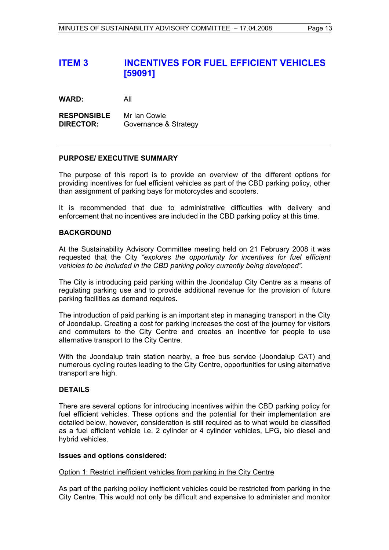# **ITEM 3 INCENTIVES FOR FUEL EFFICIENT VEHICLES [59091]**

**WARD:** All

**RESPONSIBLE** Mr Ian Cowie **DIRECTOR:** Governance & Strategy

# **PURPOSE/ EXECUTIVE SUMMARY**

The purpose of this report is to provide an overview of the different options for providing incentives for fuel efficient vehicles as part of the CBD parking policy, other than assignment of parking bays for motorcycles and scooters.

It is recommended that due to administrative difficulties with delivery and enforcement that no incentives are included in the CBD parking policy at this time.

# **BACKGROUND**

At the Sustainability Advisory Committee meeting held on 21 February 2008 it was requested that the City *"explores the opportunity for incentives for fuel efficient vehicles to be included in the CBD parking policy currently being developed".*

The City is introducing paid parking within the Joondalup City Centre as a means of regulating parking use and to provide additional revenue for the provision of future parking facilities as demand requires.

The introduction of paid parking is an important step in managing transport in the City of Joondalup. Creating a cost for parking increases the cost of the journey for visitors and commuters to the City Centre and creates an incentive for people to use alternative transport to the City Centre.

With the Joondalup train station nearby, a free bus service (Joondalup CAT) and numerous cycling routes leading to the City Centre, opportunities for using alternative transport are high.

# **DETAILS**

There are several options for introducing incentives within the CBD parking policy for fuel efficient vehicles. These options and the potential for their implementation are detailed below, however, consideration is still required as to what would be classified as a fuel efficient vehicle i.e. 2 cylinder or 4 cylinder vehicles, LPG, bio diesel and hybrid vehicles.

# **Issues and options considered:**

# Option 1: Restrict inefficient vehicles from parking in the City Centre

As part of the parking policy inefficient vehicles could be restricted from parking in the City Centre. This would not only be difficult and expensive to administer and monitor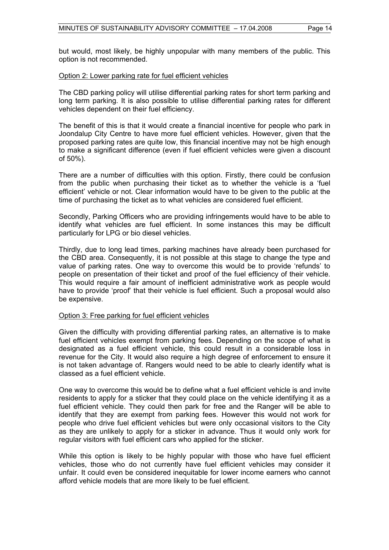but would, most likely, be highly unpopular with many members of the public. This option is not recommended.

#### Option 2: Lower parking rate for fuel efficient vehicles

The CBD parking policy will utilise differential parking rates for short term parking and long term parking. It is also possible to utilise differential parking rates for different vehicles dependent on their fuel efficiency.

The benefit of this is that it would create a financial incentive for people who park in Joondalup City Centre to have more fuel efficient vehicles. However, given that the proposed parking rates are quite low, this financial incentive may not be high enough to make a significant difference (even if fuel efficient vehicles were given a discount of 50%).

There are a number of difficulties with this option. Firstly, there could be confusion from the public when purchasing their ticket as to whether the vehicle is a 'fuel efficient' vehicle or not. Clear information would have to be given to the public at the time of purchasing the ticket as to what vehicles are considered fuel efficient.

Secondly, Parking Officers who are providing infringements would have to be able to identify what vehicles are fuel efficient. In some instances this may be difficult particularly for LPG or bio diesel vehicles.

Thirdly, due to long lead times, parking machines have already been purchased for the CBD area. Consequently, it is not possible at this stage to change the type and value of parking rates. One way to overcome this would be to provide 'refunds' to people on presentation of their ticket and proof of the fuel efficiency of their vehicle. This would require a fair amount of inefficient administrative work as people would have to provide 'proof' that their vehicle is fuel efficient. Such a proposal would also be expensive.

# Option 3: Free parking for fuel efficient vehicles

Given the difficulty with providing differential parking rates, an alternative is to make fuel efficient vehicles exempt from parking fees. Depending on the scope of what is designated as a fuel efficient vehicle, this could result in a considerable loss in revenue for the City. It would also require a high degree of enforcement to ensure it is not taken advantage of. Rangers would need to be able to clearly identify what is classed as a fuel efficient vehicle.

One way to overcome this would be to define what a fuel efficient vehicle is and invite residents to apply for a sticker that they could place on the vehicle identifying it as a fuel efficient vehicle. They could then park for free and the Ranger will be able to identify that they are exempt from parking fees. However this would not work for people who drive fuel efficient vehicles but were only occasional visitors to the City as they are unlikely to apply for a sticker in advance. Thus it would only work for regular visitors with fuel efficient cars who applied for the sticker.

While this option is likely to be highly popular with those who have fuel efficient vehicles, those who do not currently have fuel efficient vehicles may consider it unfair. It could even be considered inequitable for lower income earners who cannot afford vehicle models that are more likely to be fuel efficient.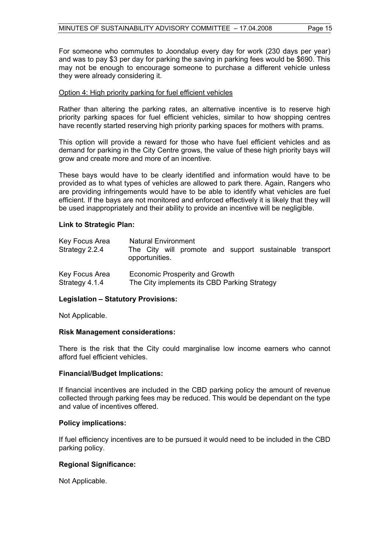For someone who commutes to Joondalup every day for work (230 days per year) and was to pay \$3 per day for parking the saving in parking fees would be \$690. This may not be enough to encourage someone to purchase a different vehicle unless they were already considering it.

# Option 4: High priority parking for fuel efficient vehicles

Rather than altering the parking rates, an alternative incentive is to reserve high priority parking spaces for fuel efficient vehicles, similar to how shopping centres have recently started reserving high priority parking spaces for mothers with prams.

This option will provide a reward for those who have fuel efficient vehicles and as demand for parking in the City Centre grows, the value of these high priority bays will grow and create more and more of an incentive.

These bays would have to be clearly identified and information would have to be provided as to what types of vehicles are allowed to park there. Again, Rangers who are providing infringements would have to be able to identify what vehicles are fuel efficient. If the bays are not monitored and enforced effectively it is likely that they will be used inappropriately and their ability to provide an incentive will be negligible.

# **Link to Strategic Plan:**

| Key Focus Area<br>Strategy 2.2.4 | <b>Natural Environment</b><br>The City will promote and support sustainable transport<br>opportunities. |
|----------------------------------|---------------------------------------------------------------------------------------------------------|
| Key Focus Area                   | Economic Prosperity and Growth                                                                          |
| Strategy 4.1.4                   | The City implements its CBD Parking Strategy                                                            |

# **Legislation – Statutory Provisions:**

Not Applicable.

# **Risk Management considerations:**

There is the risk that the City could marginalise low income earners who cannot afford fuel efficient vehicles.

# **Financial/Budget Implications:**

If financial incentives are included in the CBD parking policy the amount of revenue collected through parking fees may be reduced. This would be dependant on the type and value of incentives offered.

# **Policy implications:**

If fuel efficiency incentives are to be pursued it would need to be included in the CBD parking policy.

# **Regional Significance:**

Not Applicable.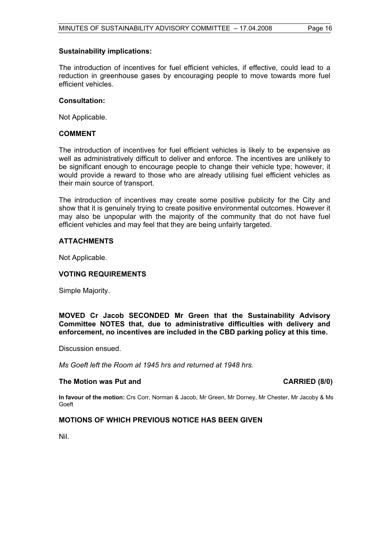### **Sustainability implications:**

The introduction of incentives for fuel efficient vehicles, if effective, could lead to a reduction in greenhouse gases by encouraging people to move towards more fuel efficient vehicles.

#### **Consultation:**

Not Applicable.

# **COMMENT**

The introduction of incentives for fuel efficient vehicles is likely to be expensive as well as administratively difficult to deliver and enforce. The incentives are unlikely to be significant enough to encourage people to change their vehicle type; however, it would provide a reward to those who are already utilising fuel efficient vehicles as their main source of transport.

The introduction of incentives may create some positive publicity for the City and show that it is genuinely trying to create positive environmental outcomes. However it may also be unpopular with the majority of the community that do not have fuel efficient vehicles and may feel that they are being unfairly targeted.

# **ATTACHMENTS**

Not Applicable.

# **VOTING REQUIREMENTS**

Simple Majority.

**MOVED Cr Jacob SECONDED Mr Green that the Sustainability Advisory Committee NOTES that, due to administrative difficulties with delivery and enforcement, no incentives are included in the CBD parking policy at this time.** 

Discussion ensued.

*Ms Goeft left the Room at 1945 hrs and returned at 1948 hrs.* 

# The Motion was Put and **CARRIED** (8/0)

**In favour of the motion:** Crs Corr, Norman & Jacob, Mr Green, Mr Dorney, Mr Chester, Mr Jacoby & Ms Goeft

# **MOTIONS OF WHICH PREVIOUS NOTICE HAS BEEN GIVEN**

Nil.